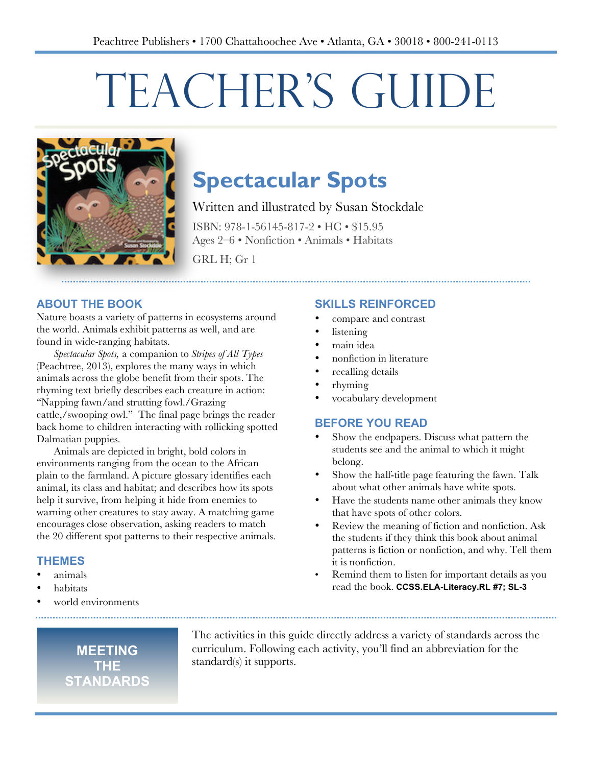# TEACHER'S GUIDE



# **Spectacular Spots**

Written and illustrated by Susan Stockdale

ISBN: 978-1-56145-817-2 • HC • \$15.95 Ages 2–6 • Nonfiction • Animals • Habitats

GRL H; Gr 1

#### **ABOUT THE BOOK**

Nature boasts a variety of patterns in ecosystems around the world. Animals exhibit patterns as well, and are found in wide-ranging habitats.

*Spectacular Spots,* a companion to *Stripes of All Types* (Peachtree, 2013), explores the many ways in which animals across the globe benefit from their spots. The rhyming text briefly describes each creature in action: "Napping fawn/and strutting fowl./Grazing cattle,/swooping owl." The final page brings the reader back home to children interacting with rollicking spotted Dalmatian puppies.

Animals are depicted in bright, bold colors in environments ranging from the ocean to the African plain to the farmland. A picture glossary identifies each animal, its class and habitat; and describes how its spots help it survive, from helping it hide from enemies to warning other creatures to stay away. A matching game encourages close observation, asking readers to match the 20 different spot patterns to their respective animals.

#### **THEMES**

- animals
- habitats
- world environments

#### **SKILLS REINFORCED**

- compare and contrast
- listening
- main idea
- nonfiction in literature
- recalling details
- rhyming
- vocabulary development

#### **BEFORE YOU READ**

- Show the endpapers. Discuss what pattern the students see and the animal to which it might belong.
- Show the half-title page featuring the fawn. Talk about what other animals have white spots.
- Have the students name other animals they know that have spots of other colors.
- Review the meaning of fiction and nonfiction. Ask the students if they think this book about animal patterns is fiction or nonfiction, and why. Tell them it is nonfiction.
- Remind them to listen for important details as you read the book. **CCSS.ELA-Literacy.RL #7; SL-3**

**MEETING THE STANDARDS** The activities in this guide directly address a variety of standards across the curriculum. Following each activity, you'll find an abbreviation for the standard(s) it supports.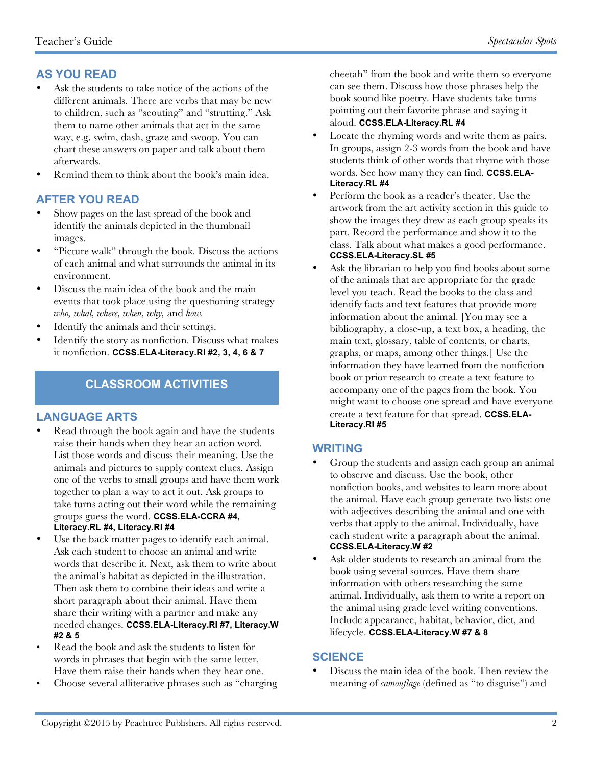# **AS YOU READ**

- Ask the students to take notice of the actions of the different animals. There are verbs that may be new to children, such as "scouting" and "strutting." Ask them to name other animals that act in the same way, e.g. swim, dash, graze and swoop. You can chart these answers on paper and talk about them afterwards.
- Remind them to think about the book's main idea.

#### **AFTER YOU READ**

- Show pages on the last spread of the book and identify the animals depicted in the thumbnail images.
- "Picture walk" through the book. Discuss the actions of each animal and what surrounds the animal in its environment.
- Discuss the main idea of the book and the main events that took place using the questioning strategy *who, what, where, when, why,* and *how.*
- Identify the animals and their settings.
- Identify the story as nonfiction. Discuss what makes it nonfiction. **CCSS.ELA-Literacy.RI #2, 3, 4, 6 & 7**

## **CLASSROOM ACTIVITIES**

#### **LANGUAGE ARTS**

- Read through the book again and have the students raise their hands when they hear an action word. List those words and discuss their meaning. Use the animals and pictures to supply context clues. Assign one of the verbs to small groups and have them work together to plan a way to act it out. Ask groups to take turns acting out their word while the remaining groups guess the word. **CCSS.ELA-CCRA #4, Literacy.RL #4, Literacy.RI #4**
- Use the back matter pages to identify each animal. Ask each student to choose an animal and write words that describe it. Next, ask them to write about the animal's habitat as depicted in the illustration. Then ask them to combine their ideas and write a short paragraph about their animal. Have them share their writing with a partner and make any needed changes. **CCSS.ELA-Literacy.RI #7, Literacy.W #2 & 5**
- Read the book and ask the students to listen for words in phrases that begin with the same letter. Have them raise their hands when they hear one.
- Choose several alliterative phrases such as "charging

cheetah" from the book and write them so everyone can see them. Discuss how those phrases help the book sound like poetry. Have students take turns pointing out their favorite phrase and saying it aloud. **CCSS.ELA-Literacy.RL #4**

- Locate the rhyming words and write them as pairs. In groups, assign 2-3 words from the book and have students think of other words that rhyme with those words. See how many they can find. **CCSS.ELA-Literacy.RL #4**
- Perform the book as a reader's theater. Use the artwork from the art activity section in this guide to show the images they drew as each group speaks its part. Record the performance and show it to the class. Talk about what makes a good performance. **CCSS.ELA-Literacy.SL #5**
- Ask the librarian to help you find books about some of the animals that are appropriate for the grade level you teach. Read the books to the class and identify facts and text features that provide more information about the animal. [You may see a bibliography, a close-up, a text box, a heading, the main text, glossary, table of contents, or charts, graphs, or maps, among other things.] Use the information they have learned from the nonfiction book or prior research to create a text feature to accompany one of the pages from the book. You might want to choose one spread and have everyone create a text feature for that spread. **CCSS.ELA-Literacy.RI #5**

#### **WRITING**

- Group the students and assign each group an animal to observe and discuss. Use the book, other nonfiction books, and websites to learn more about the animal. Have each group generate two lists: one with adjectives describing the animal and one with verbs that apply to the animal. Individually, have each student write a paragraph about the animal. **CCSS.ELA-Literacy.W #2**
- Ask older students to research an animal from the book using several sources. Have them share information with others researching the same animal. Individually, ask them to write a report on the animal using grade level writing conventions. Include appearance, habitat, behavior, diet, and lifecycle. **CCSS.ELA-Literacy.W #7 & 8**

#### **SCIENCE**

• Discuss the main idea of the book. Then review the meaning of *camouflage* (defined as "to disguise") and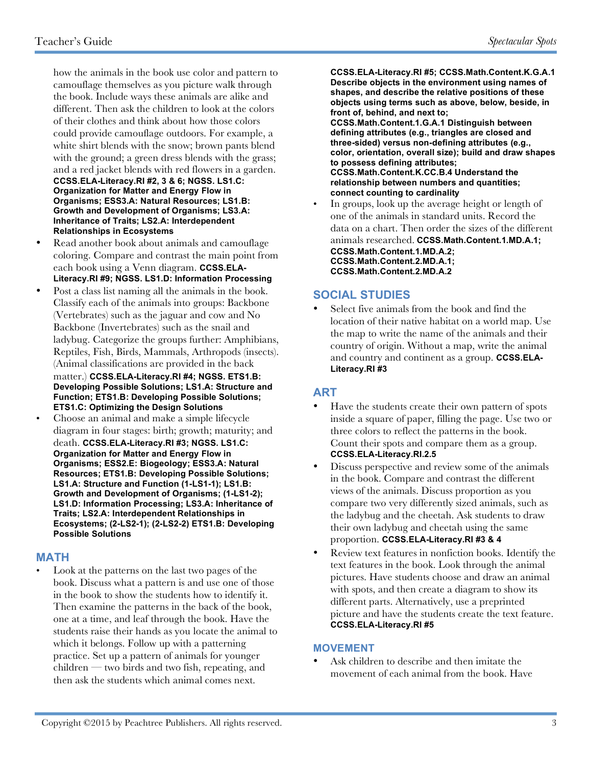how the animals in the book use color and pattern to camouflage themselves as you picture walk through the book. Include ways these animals are alike and different. Then ask the children to look at the colors of their clothes and think about how those colors could provide camouflage outdoors. For example, a white shirt blends with the snow; brown pants blend with the ground; a green dress blends with the grass; and a red jacket blends with red flowers in a garden. **CCSS.ELA-Literacy.RI #2, 3 & 6; NGSS. LS1.C: Organization for Matter and Energy Flow in Organisms; ESS3.A: Natural Resources; LS1.B: Growth and Development of Organisms; LS3.A: Inheritance of Traits; LS2.A: Interdependent Relationships in Ecosystems**

- Read another book about animals and camouflage coloring. Compare and contrast the main point from each book using a Venn diagram. **CCSS.ELA-Literacy.RI #9; NGSS. LS1.D: Information Processing**
- Post a class list naming all the animals in the book. Classify each of the animals into groups: Backbone (Vertebrates) such as the jaguar and cow and No Backbone (Invertebrates) such as the snail and ladybug. Categorize the groups further: Amphibians, Reptiles, Fish, Birds, Mammals, Arthropods (insects). (Animal classifications are provided in the back matter.) **CCSS.ELA-Literacy.RI #4; NGSS. ETS1.B: Developing Possible Solutions; LS1.A: Structure and Function; ETS1.B: Developing Possible Solutions; ETS1.C: Optimizing the Design Solutions**
- Choose an animal and make a simple lifecycle diagram in four stages: birth; growth; maturity; and death. **CCSS.ELA-Literacy.RI #3; NGSS. LS1.C: Organization for Matter and Energy Flow in Organisms; ESS2.E: Biogeology; ESS3.A: Natural Resources; ETS1.B: Developing Possible Solutions; LS1.A: Structure and Function (1-LS1-1); LS1.B: Growth and Development of Organisms; (1-LS1-2); LS1.D: Information Processing; LS3.A: Inheritance of Traits; LS2.A: Interdependent Relationships in Ecosystems; (2-LS2-1); (2-LS2-2) ETS1.B: Developing Possible Solutions**

#### **MATH**

• Look at the patterns on the last two pages of the book. Discuss what a pattern is and use one of those in the book to show the students how to identify it. Then examine the patterns in the back of the book, one at a time, and leaf through the book. Have the students raise their hands as you locate the animal to which it belongs. Follow up with a patterning practice. Set up a pattern of animals for younger  $children$  — two birds and two fish, repeating, and then ask the students which animal comes next.

**CCSS.ELA-Literacy.RI #5; CCSS.Math.Content.K.G.A.1 Describe objects in the environment using names of shapes, and describe the relative positions of these objects using terms such as above, below, beside, in front of, behind, and next to;** 

**CCSS.Math.Content.1.G.A.1 Distinguish between defining attributes (e.g., triangles are closed and three-sided) versus non-defining attributes (e.g., color, orientation, overall size); build and draw shapes to possess defining attributes; CCSS.Math.Content.K.CC.B.4 Understand the relationship between numbers and quantities; connect counting to cardinality**

In groups, look up the average height or length of one of the animals in standard units. Record the data on a chart. Then order the sizes of the different animals researched. **CCSS.Math.Content.1.MD.A.1; CCSS.Math.Content.1.MD.A.2; CCSS.Math.Content.2.MD.A.1; CCSS.Math.Content.2.MD.A.2**

#### **SOCIAL STUDIES**

Select five animals from the book and find the location of their native habitat on a world map. Use the map to write the name of the animals and their country of origin. Without a map, write the animal and country and continent as a group. **CCSS.ELA-Literacy.RI #3**

### **ART**

- Have the students create their own pattern of spots inside a square of paper, filling the page. Use two or three colors to reflect the patterns in the book. Count their spots and compare them as a group. **CCSS.ELA-Literacy.RI.2.5**
- Discuss perspective and review some of the animals in the book. Compare and contrast the different views of the animals. Discuss proportion as you compare two very differently sized animals, such as the ladybug and the cheetah. Ask students to draw their own ladybug and cheetah using the same proportion. **CCSS.ELA-Literacy.RI #3 & 4**
- Review text features in nonfiction books. Identify the text features in the book. Look through the animal pictures. Have students choose and draw an animal with spots, and then create a diagram to show its different parts. Alternatively, use a preprinted picture and have the students create the text feature. **CCSS.ELA-Literacy.RI #5**

#### **MOVEMENT**

Ask children to describe and then imitate the movement of each animal from the book. Have